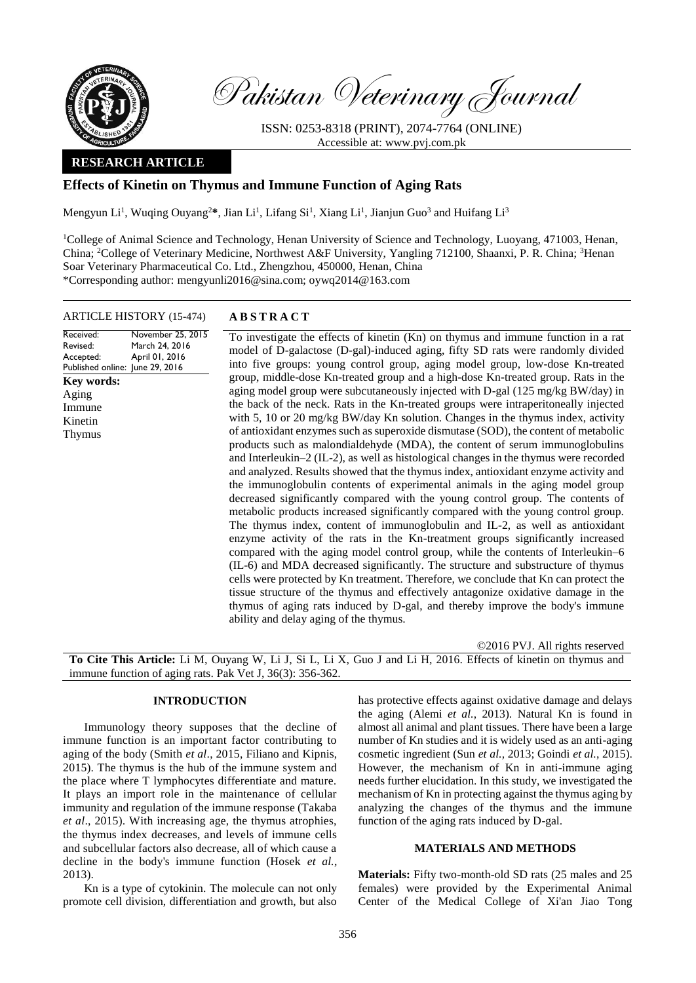

Pakistan Veterinary Journal

ISSN: 0253-8318 (PRINT), 2074-7764 (ONLINE) Accessible at: [www.pvj.com.pk](http://www.pvj.com.pk/)

## **RESEARCH ARTICLE**

# **Effects of Kinetin on Thymus and Immune Function of Aging Rats**

Mengyun Li<sup>1</sup>, Wuqing Ouyang<sup>2\*</sup>, Jian Li<sup>1</sup>, Lifang Si<sup>1</sup>, Xiang Li<sup>1</sup>, Jianjun Guo<sup>3</sup> and Huifang Li<sup>3</sup>

<sup>1</sup>College of Animal Science and Technology, Henan University of Science and Technology, Luoyang, 471003, Henan, China; <sup>2</sup>College of Veterinary Medicine, Northwest A&F University, Yangling 712100, Shaanxi, P. R. China; <sup>3</sup>Henan Soar Veterinary Pharmaceutical Co. Ltd., Zhengzhou, 450000, Henan, China \*Corresponding author: mengyunli2016@sina.com; oywq2014@163.com

### ARTICLE HISTORY (15-474) **A B S T R A C T**

Received: Revised: Accepted: Published online: June 29, 2016 November 25, 2015 March 24, 2016 April 01, 2016 **Key words:**  Aging Immune Kinetin Thymus

To investigate the effects of kinetin (Kn) on thymus and immune function in a rat model of D-galactose (D-gal)-induced aging, fifty SD rats were randomly divided into five groups: young control group, aging model group, low-dose Kn-treated group, middle-dose Kn-treated group and a high-dose Kn-treated group. Rats in the aging model group were subcutaneously injected with D-gal (125 mg/kg BW/day) in the back of the neck. Rats in the Kn-treated groups were intraperitoneally injected with 5, 10 or 20 mg/kg BW/day Kn solution. Changes in the thymus index, activity of antioxidant enzymes such as superoxide dismutase (SOD), the content of metabolic products such as malondialdehyde (MDA), the content of serum immunoglobulins and Interleukin–2 (IL-2), as well as histological changes in the thymus were recorded and analyzed. Results showed that the thymus index, antioxidant enzyme activity and the immunoglobulin contents of experimental animals in the aging model group decreased significantly compared with the young control group. The contents of metabolic products increased significantly compared with the young control group. The thymus index, content of immunoglobulin and IL-2, as well as antioxidant enzyme activity of the rats in the Kn-treatment groups significantly increased compared with the aging model control group, while the contents of Interleukin–6 (IL-6) and MDA decreased significantly. The structure and substructure of thymus cells were protected by Kn treatment. Therefore, we conclude that Kn can protect the tissue structure of the thymus and effectively antagonize oxidative damage in the thymus of aging rats induced by D-gal, and thereby improve the body's immune ability and delay aging of the thymus.

©2016 PVJ. All rights reserved

**To Cite This Article:** Li M, Ouyang W, Li J, Si L, Li X, Guo J and Li H, 2016. Effects of kinetin on thymus and immune function of aging rats. Pak Vet J, 36(3): 356-362.

#### **INTRODUCTION**

Immunology theory supposes that the decline of immune function is an important factor contributing to aging of the body (Smith *et al*., 2015, Filiano and Kipnis, 2015). The thymus is the hub of the immune system and the place where T lymphocytes differentiate and mature. It plays an import role in the maintenance of cellular immunity and regulation of the immune response (Takaba *et al*., 2015). With increasing age, the thymus atrophies, the thymus index decreases, and levels of immune cells and subcellular factors also decrease, all of which cause a decline in the body's immune function (Hosek *et al.*, 2013).

Kn is a type of cytokinin. The molecule can not only promote cell division, differentiation and growth, but also

has protective effects against oxidative damage and delays the aging (Alemi *et al.*, 2013). Natural Kn is found in almost all animal and plant tissues. There have been a large number of Kn studies and it is widely used as an anti-aging cosmetic ingredient (Sun *et al.,* 2013; Goindi *et al.*, 2015). However, the mechanism of Kn in anti-immune aging needs further elucidation. In this study, we investigated the mechanism of Kn in protecting against the thymus aging by analyzing the changes of the thymus and the immune function of the aging rats induced by D-gal.

## **MATERIALS AND METHODS**

**Materials:** Fifty two-month-old SD rats (25 males and 25 females) were provided by the Experimental Animal Center of the Medical College of Xi'an Jiao Tong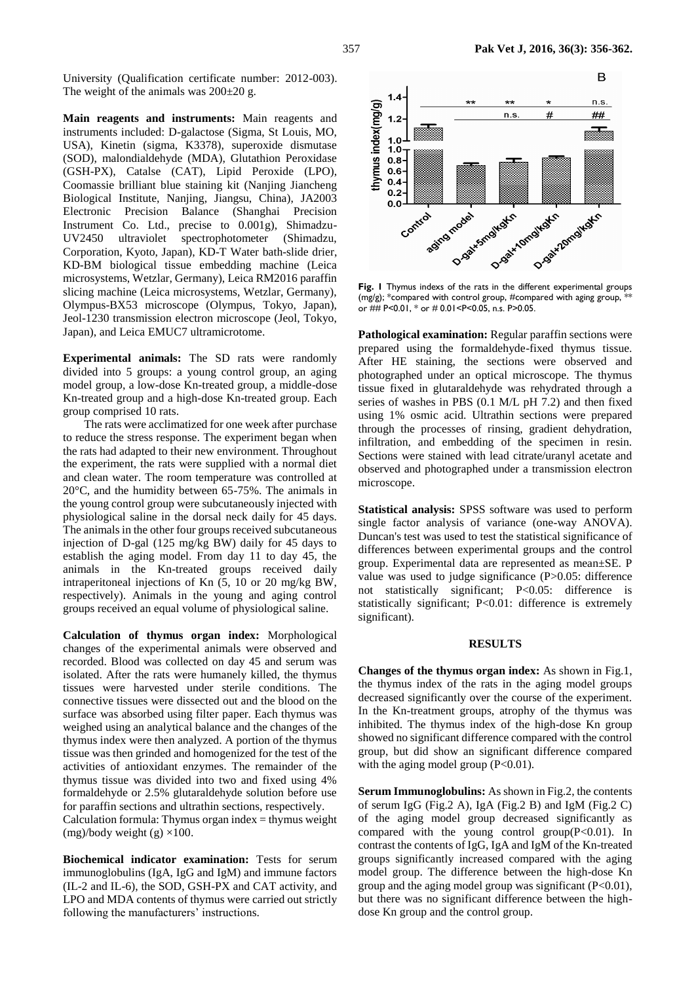University (Qualification certificate number: 2012-003). The weight of the animals was  $200\pm20$  g.

**Main reagents and instruments:** Main reagents and instruments included: D-galactose (Sigma, St Louis, MO, USA), Kinetin (sigma, K3378), superoxide dismutase (SOD), malondialdehyde (MDA), Glutathion Peroxidase (GSH-PX), Catalse (CAT), Lipid Peroxide (LPO), Coomassie brilliant blue staining kit (Nanjing Jiancheng Biological Institute, Nanjing, Jiangsu, China), JA2003 Electronic Precision Balance (Shanghai Precision Instrument Co. Ltd., precise to 0.001g), Shimadzu-UV2450 ultraviolet spectrophotometer (Shimadzu, Corporation, Kyoto, Japan), KD-T Water bath-slide drier, KD-BM biological tissue embedding machine (Leica microsystems, Wetzlar, Germany), Leica RM2016 paraffin slicing machine (Leica microsystems, Wetzlar, Germany), Olympus-BX53 microscope (Olympus, Tokyo, Japan), Jeol-1230 transmission electron microscope (Jeol, Tokyo, Japan), and Leica EMUC7 ultramicrotome.

**Experimental animals:** The SD rats were randomly divided into 5 groups: a young control group, an aging model group, a low-dose Kn-treated group, a middle-dose Kn-treated group and a high-dose Kn-treated group. Each group comprised 10 rats.

The rats were acclimatized for one week after purchase to reduce the stress response. The experiment began when the rats had adapted to their new environment. Throughout the experiment, the rats were supplied with a normal diet and clean water. The room temperature was controlled at 20°C, and the humidity between 65-75%. The animals in the young control group were subcutaneously injected with physiological saline in the dorsal neck daily for 45 days. The animals in the other four groups received subcutaneous injection of D-gal (125 mg/kg BW) daily for 45 days to establish the aging model. From day 11 to day 45, the animals in the Kn-treated groups received daily intraperitoneal injections of Kn (5, 10 or 20 mg/kg BW, respectively). Animals in the young and aging control groups received an equal volume of physiological saline.

**Calculation of thymus organ index:** Morphological changes of the experimental animals were observed and recorded. Blood was collected on day 45 and serum was isolated. After the rats were humanely killed, the thymus tissues were harvested under sterile conditions. The connective tissues were dissected out and the blood on the surface was absorbed using filter paper. Each thymus was weighed using an analytical balance and the changes of the thymus index were then analyzed. A portion of the thymus tissue was then grinded and homogenized for the test of the activities of antioxidant enzymes. The remainder of the thymus tissue was divided into two and fixed using 4% formaldehyde or 2.5% glutaraldehyde solution before use for paraffin sections and ultrathin sections, respectively. Calculation formula: Thymus organ index  $=$  thymus weight

(mg)/body weight (g)  $\times$ 100.

**Biochemical indicator examination:** Tests for serum immunoglobulins (IgA, IgG and IgM) and immune factors (IL-2 and IL-6), the SOD, GSH-PX and CAT activity, and LPO and MDA contents of thymus were carried out strictly following the manufacturers' instructions.



**Fig. 1** Thymus indexs of the rats in the different experimental groups (mg/g); \*compared with control group, #compared with aging group,  $*$ or ## P<0.01, \* or # 0.01<P<0.05, n.s. P>0.05.

**Pathological examination:** Regular paraffin sections were prepared using the formaldehyde-fixed thymus tissue. After HE staining, the sections were observed and photographed under an optical microscope. The thymus tissue fixed in glutaraldehyde was rehydrated through a series of washes in PBS (0.1 M/L pH 7.2) and then fixed using 1% osmic acid. Ultrathin sections were prepared through the processes of rinsing, gradient dehydration, infiltration, and embedding of the specimen in resin. Sections were stained with lead citrate/uranyl acetate and observed and photographed under a transmission electron microscope.

**Statistical analysis:** SPSS software was used to perform single factor analysis of variance (one-way ANOVA). Duncan's test was used to test the statistical significance of differences between experimental groups and the control group. Experimental data are represented as mean±SE. P value was used to judge significance (P>0.05: difference not statistically significant; P<0.05: difference is statistically significant; P<0.01: difference is extremely significant).

### **RESULTS**

**Changes of the thymus organ index:** As shown in Fig.1, the thymus index of the rats in the aging model groups decreased significantly over the course of the experiment. In the Kn-treatment groups, atrophy of the thymus was inhibited. The thymus index of the high-dose Kn group showed no significant difference compared with the control group, but did show an significant difference compared with the aging model group  $(P<0.01)$ .

**Serum Immunoglobulins:** As shown in Fig.2, the contents of serum IgG (Fig.2 A), IgA (Fig.2 B) and IgM (Fig.2 C) of the aging model group decreased significantly as compared with the young control group $(P<0.01)$ . In contrast the contents of IgG, IgA and IgM of the Kn-treated groups significantly increased compared with the aging model group. The difference between the high-dose Kn group and the aging model group was significant (P<0.01), but there was no significant difference between the highdose Kn group and the control group.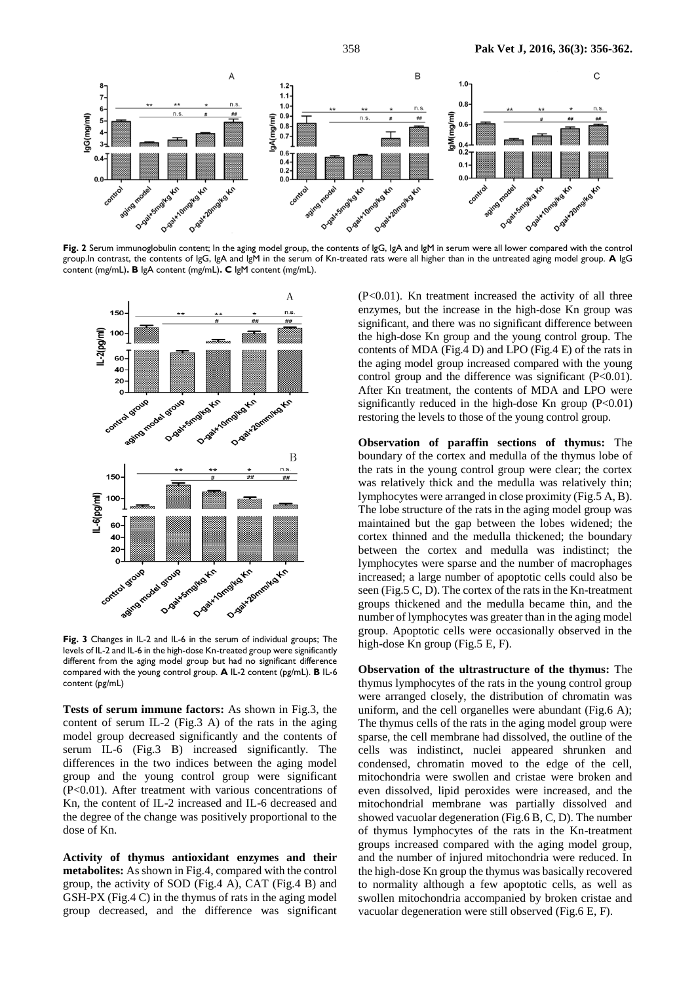

**Fig. 2** Serum immunoglobulin content; In the aging model group, the contents of IgG, IgA and IgM in serum were all lower compared with the control group.In contrast, the contents of IgG, IgA and IgM in the serum of Kn-treated rats were all higher than in the untreated aging model group. **A** IgG content (mg/mL)**. B** IgA content (mg/mL)**. C** IgM content (mg/mL).



**Fig. 3** Changes in IL-2 and IL-6 in the serum of individual groups; The levels of IL-2 and IL-6 in the high-dose Kn-treated group were significantly different from the aging model group but had no significant difference compared with the young control group. **A** IL-2 content (pg/mL). **B** IL-6 content (pg/mL)

**Tests of serum immune factors:** As shown in Fig.3, the content of serum IL-2 (Fig.3 A) of the rats in the aging model group decreased significantly and the contents of serum IL-6 (Fig.3 B) increased significantly. The differences in the two indices between the aging model group and the young control group were significant (P<0.01). After treatment with various concentrations of Kn, the content of IL-2 increased and IL-6 decreased and the degree of the change was positively proportional to the dose of Kn.

**Activity of thymus antioxidant enzymes and their metabolites:** As shown in Fig.4, compared with the control group, the activity of SOD (Fig.4 A), CAT (Fig.4 B) and GSH-PX (Fig.4 C) in the thymus of rats in the aging model group decreased, and the difference was significant

(P<0.01). Kn treatment increased the activity of all three enzymes, but the increase in the high-dose Kn group was significant, and there was no significant difference between the high-dose Kn group and the young control group. The contents of MDA (Fig.4 D) and LPO (Fig.4 E) of the rats in the aging model group increased compared with the young control group and the difference was significant  $(P<0.01)$ . After Kn treatment, the contents of MDA and LPO were significantly reduced in the high-dose Kn group  $(P<0.01)$ restoring the levels to those of the young control group.

**Observation of paraffin sections of thymus:** The boundary of the cortex and medulla of the thymus lobe of the rats in the young control group were clear; the cortex was relatively thick and the medulla was relatively thin; lymphocytes were arranged in close proximity (Fig.5 A, B). The lobe structure of the rats in the aging model group was maintained but the gap between the lobes widened; the cortex thinned and the medulla thickened; the boundary between the cortex and medulla was indistinct; the lymphocytes were sparse and the number of macrophages increased; a large number of apoptotic cells could also be seen (Fig.5 C, D). The cortex of the rats in the Kn-treatment groups thickened and the medulla became thin, and the number of lymphocytes was greater than in the aging model group. Apoptotic cells were occasionally observed in the high-dose Kn group (Fig.5 E, F).

**Observation of the ultrastructure of the thymus:** The thymus lymphocytes of the rats in the young control group were arranged closely, the distribution of chromatin was uniform, and the cell organelles were abundant (Fig.6 A); The thymus cells of the rats in the aging model group were sparse, the cell membrane had dissolved, the outline of the cells was indistinct, nuclei appeared shrunken and condensed, chromatin moved to the edge of the cell, mitochondria were swollen and cristae were broken and even dissolved, lipid peroxides were increased, and the mitochondrial membrane was partially dissolved and showed vacuolar degeneration (Fig.6 B, C, D). The number of thymus lymphocytes of the rats in the Kn-treatment groups increased compared with the aging model group, and the number of injured mitochondria were reduced. In the high-dose Kn group the thymus was basically recovered to normality although a few apoptotic cells, as well as swollen mitochondria accompanied by broken cristae and vacuolar degeneration were still observed (Fig.6 E, F).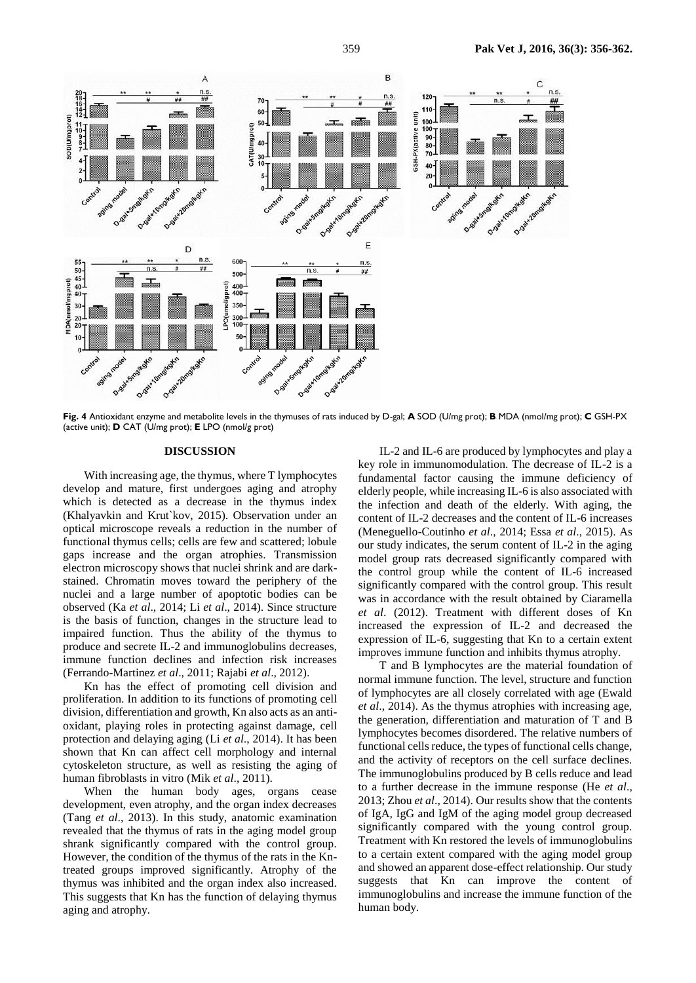

**Fig. 4** Antioxidant enzyme and metabolite levels in the thymuses of rats induced by D-gal; **A** SOD (U/mg prot); **B** MDA (nmol/mg prot); **C** GSH-PX (active unit); **D** CAT (U/mg prot); **E** LPO (nmol/g prot)

### **DISCUSSION**

With increasing age, the thymus, where T lymphocytes develop and mature, first undergoes aging and atrophy which is detected as a decrease in the thymus index (Khalyavkin and Krut`kov, 2015). Observation under an optical microscope reveals a reduction in the number of functional thymus cells; cells are few and scattered; lobule gaps increase and the organ atrophies. Transmission electron microscopy shows that nuclei shrink and are darkstained. Chromatin moves toward the periphery of the nuclei and a large number of apoptotic bodies can be observed (Ka *et al*., 2014; Li *et al*., 2014). Since structure is the basis of function, changes in the structure lead to impaired function. Thus the ability of the thymus to produce and secrete IL-2 and immunoglobulins decreases, immune function declines and infection risk increases (Ferrando-Martinez *et al*., 2011; Rajabi *et al*., 2012).

Kn has the effect of promoting cell division and proliferation. In addition to its functions of promoting cell division, differentiation and growth, Kn also acts as an antioxidant, playing roles in protecting against damage, cell protection and delaying aging (Li *et al*., 2014). It has been shown that Kn can affect cell morphology and internal cytoskeleton structure, as well as resisting the aging of human fibroblasts in vitro (Mik *et al*., 2011).

When the human body ages, organs cease development, even atrophy, and the organ index decreases (Tang *et al*., 2013). In this study, anatomic examination revealed that the thymus of rats in the aging model group shrank significantly compared with the control group. However, the condition of the thymus of the rats in the Kntreated groups improved significantly. Atrophy of the thymus was inhibited and the organ index also increased. This suggests that Kn has the function of delaying thymus aging and atrophy.

IL-2 and IL-6 are produced by lymphocytes and play a key role in immunomodulation. The decrease of IL-2 is a fundamental factor causing the immune deficiency of elderly people, while increasing IL-6 is also associated with the infection and death of the elderly. With aging, the content of IL-2 decreases and the content of IL-6 increases (Meneguello-Coutinho *et al*., 2014; Essa *et al*., 2015). As our study indicates, the serum content of IL-2 in the aging model group rats decreased significantly compared with the control group while the content of IL-6 increased significantly compared with the control group. This result was in accordance with the result obtained by Ciaramella *et al*. (2012). Treatment with different doses of Kn increased the expression of IL-2 and decreased the expression of IL-6, suggesting that Kn to a certain extent improves immune function and inhibits thymus atrophy.

T and B lymphocytes are the material foundation of normal immune function. The level, structure and function of lymphocytes are all closely correlated with age (Ewald *et al*., 2014). As the thymus atrophies with increasing age, the generation, differentiation and maturation of T and B lymphocytes becomes disordered. The relative numbers of functional cells reduce, the types of functional cells change, and the activity of receptors on the cell surface declines. The immunoglobulins produced by B cells reduce and lead to a further decrease in the immune response (He *et al*., 2013; Zhou *et al*., 2014). Our results show that the contents of IgA, IgG and IgM of the aging model group decreased significantly compared with the young control group. Treatment with Kn restored the levels of immunoglobulins to a certain extent compared with the aging model group and showed an apparent dose-effect relationship. Our study suggests that Kn can improve the content of immunoglobulins and increase the immune function of the human body.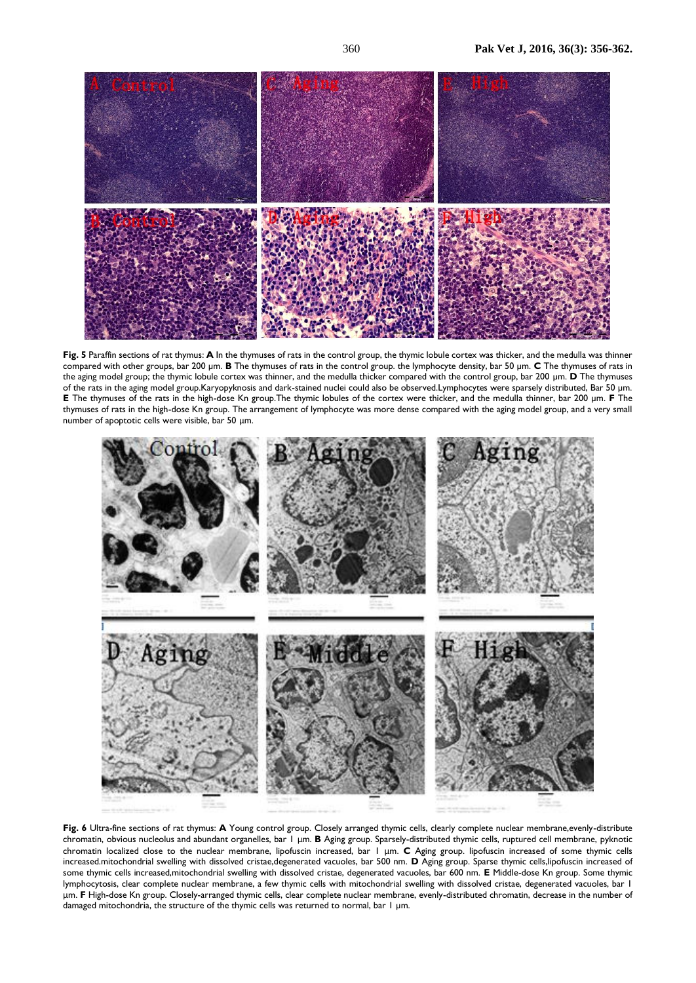

**Fig. 5** Paraffin sections of rat thymus: **A** In the thymuses of rats in the control group, the thymic lobule cortex was thicker, and the medulla was thinner compared with other groups, bar 200 µm. **B** The thymuses of rats in the control group. the lymphocyte density, bar 50 µm. **C** The thymuses of rats in the aging model group; the thymic lobule cortex was thinner, and the medulla thicker compared with the control group, bar 200 µm. **D** The thymuses of the rats in the aging model group.Karyopyknosis and dark-stained nuclei could also be observed.Lymphocytes were sparsely distributed, Bar 50 µm. **E** The thymuses of the rats in the high-dose Kn group.The thymic lobules of the cortex were thicker, and the medulla thinner, bar 200 µm. **F** The thymuses of rats in the high-dose Kn group. The arrangement of lymphocyte was more dense compared with the aging model group, and a very small number of apoptotic cells were visible, bar 50 μm.



Fig. 6 Ultra-fine sections of rat thymus: A Young control group. Closely arranged thymic cells, clearly complete nuclear membrane,evenly-distribute chromatin, obvious nucleolus and abundant organelles, bar 1 μm. **B** Aging group. Sparsely-distributed thymic cells, ruptured cell membrane, pyknotic chromatin localized close to the nuclear membrane, lipofuscin increased, bar 1 μm. **C** Aging group. lipofuscin increased of some thymic cells increased.mitochondrial swelling with dissolved cristae,degenerated vacuoles, bar 500 nm. **D** Aging group. Sparse thymic cells,lipofuscin increased of some thymic cells increased,mitochondrial swelling with dissolved cristae, degenerated vacuoles, bar 600 nm. **E** Middle-dose Kn group. Some thymic lymphocytosis, clear complete nuclear membrane, a few thymic cells with mitochondrial swelling with dissolved cristae, degenerated vacuoles, bar 1 μm. **F** High-dose Kn group. Closely-arranged thymic cells, clear complete nuclear membrane, evenly-distributed chromatin, decrease in the number of damaged mitochondria, the structure of the thymic cells was returned to normal, bar 1 µm.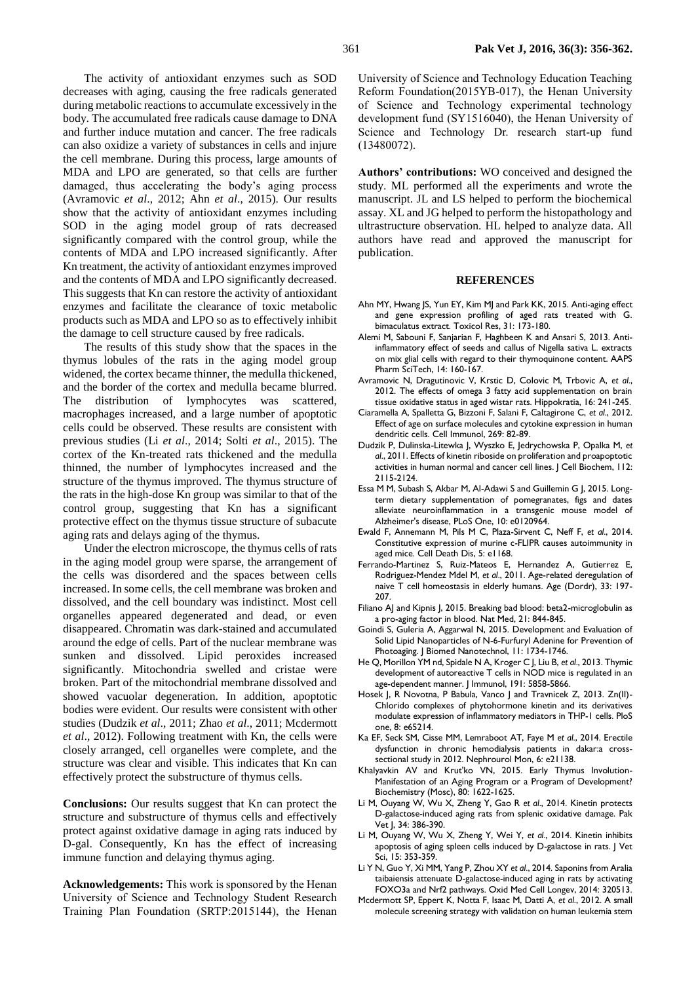The activity of antioxidant enzymes such as SOD decreases with aging, causing the free radicals generated during metabolic reactions to accumulate excessively in the body. The accumulated free radicals cause damage to DNA and further induce mutation and cancer. The free radicals can also oxidize a variety of substances in cells and injure the cell membrane. During this process, large amounts of MDA and LPO are generated, so that cells are further damaged, thus accelerating the body's aging process (Avramovic *et al*., 2012; Ahn *et al*., 2015). Our results show that the activity of antioxidant enzymes including SOD in the aging model group of rats decreased significantly compared with the control group, while the contents of MDA and LPO increased significantly. After Kn treatment, the activity of antioxidant enzymes improved and the contents of MDA and LPO significantly decreased. This suggests that Kn can restore the activity of antioxidant enzymes and facilitate the clearance of toxic metabolic products such as MDA and LPO so as to effectively inhibit the damage to cell structure caused by free radicals.

The results of this study show that the spaces in the thymus lobules of the rats in the aging model group widened, the cortex became thinner, the medulla thickened, and the border of the cortex and medulla became blurred. The distribution of lymphocytes was scattered, macrophages increased, and a large number of apoptotic cells could be observed. These results are consistent with previous studies (Li *et al*., 2014; Solti *et al*., 2015). The cortex of the Kn-treated rats thickened and the medulla thinned, the number of lymphocytes increased and the structure of the thymus improved. The thymus structure of the rats in the high-dose Kn group was similar to that of the control group, suggesting that Kn has a significant protective effect on the thymus tissue structure of subacute aging rats and delays aging of the thymus.

Under the electron microscope, the thymus cells of rats in the aging model group were sparse, the arrangement of the cells was disordered and the spaces between cells increased. In some cells, the cell membrane was broken and dissolved, and the cell boundary was indistinct. Most cell organelles appeared degenerated and dead, or even disappeared. Chromatin was dark-stained and accumulated around the edge of cells. Part of the nuclear membrane was sunken and dissolved. Lipid peroxides increased significantly. Mitochondria swelled and cristae were broken. Part of the mitochondrial membrane dissolved and showed vacuolar degeneration. In addition, apoptotic bodies were evident. Our results were consistent with other studies (Dudzik *et al*., 2011; Zhao *et al*., 2011; Mcdermott *et al*., 2012). Following treatment with Kn, the cells were closely arranged, cell organelles were complete, and the structure was clear and visible. This indicates that Kn can effectively protect the substructure of thymus cells.

**Conclusions:** Our results suggest that Kn can protect the structure and substructure of thymus cells and effectively protect against oxidative damage in aging rats induced by D-gal. Consequently, Kn has the effect of increasing immune function and delaying thymus aging.

**Acknowledgements:** This work is sponsored by the Henan University of Science and Technology Student Research Training Plan Foundation (SRTP:2015144), the Henan

University of Science and Technology Education Teaching Reform Foundation(2015YB-017), the Henan University of Science and Technology experimental technology development fund (SY1516040), the Henan University of Science and Technology Dr. research start-up fund (13480072).

**Authors' contributions:** WO conceived and designed the study. ML performed all the experiments and wrote the manuscript. JL and LS helped to perform the biochemical assay. XL and JG helped to perform the histopathology and ultrastructure observation. HL helped to analyze data. All authors have read and approved the manuscript for publication.

### **REFERENCES**

- Ahn MY, Hwang JS, Yun EY, Kim MJ and Park KK, 2015. Anti-aging effect and gene expression profiling of aged rats treated with G. bimaculatus extract. Toxicol Res, 31: 173-180.
- Alemi M, Sabouni F, Sanjarian F, Haghbeen K and Ansari S, 2013. Antiinflammatory effect of seeds and callus of Nigella sativa L. extracts on mix glial cells with regard to their thymoquinone content. AAPS Pharm SciTech, 14: 160-167.
- Avramovic N, Dragutinovic V, Krstic D, Colovic M, Trbovic A, *et al*., 2012. The effects of omega 3 fatty acid supplementation on brain tissue oxidative status in aged wistar rats. Hippokratia, 16: 241-245.
- Ciaramella A, Spalletta G, Bizzoni F, Salani F, Caltagirone C, *et al*., 2012. Effect of age on surface molecules and cytokine expression in human dendritic cells. Cell Immunol, 269: 82-89.
- Dudzik P, Dulinska-Litewka J, Wyszko E, Jedrychowska P, Opalka M, *et al*., 2011. Effects of kinetin riboside on proliferation and proapoptotic activities in human normal and cancer cell lines. J Cell Biochem, 112: 2115-2124.
- Essa M M, Subash S, Akbar M, Al-Adawi S and Guillemin G J, 2015. Longterm dietary supplementation of pomegranates, figs and dates alleviate neuroinflammation in a transgenic mouse model of Alzheimer's disease, PLoS One, 10: e0120964.
- Ewald F, Annemann M, Pils M C, Plaza-Sirvent C, Neff F, *et al*., 2014. Constitutive expression of murine c-FLIPR causes autoimmunity in aged mice. Cell Death Dis, 5: e1168.
- Ferrando-Martinez S, Ruiz-Mateos E, Hernandez A, Gutierrez E, Rodriguez-Mendez Mdel M, *et al*., 2011. Age-related deregulation of naive T cell homeostasis in elderly humans. Age (Dordr), 33: 197- 207.
- Filiano AJ and Kipnis J, 2015. Breaking bad blood: beta2-microglobulin as a pro-aging factor in blood. Nat Med, 21: 844-845.
- Goindi S, Guleria A, Aggarwal N, 2015. Development and Evaluation of Solid Lipid Nanoparticles of N-6-Furfuryl Adenine for Prevention of Photoaging. J Biomed Nanotechnol, 11: 1734-1746.
- He Q, Morillon YM nd, Spidale N A, Kroger C J, Liu B, *et al*., 2013. Thymic development of autoreactive T cells in NOD mice is regulated in an age-dependent manner. J Immunol, 191: 5858-5866.
- Hosek J, R Novotna, P Babula, Vanco J and Travnicek Z, 2013. Zn(II)-Chlorido complexes of phytohormone kinetin and its derivatives modulate expression of inflammatory mediators in THP-1 cells. PloS one, 8: e65214.
- Ka EF, Seck SM, Cisse MM, Lemraboot AT, Faye M *et al*., 2014. Erectile dysfunction in chronic hemodialysis patients in dakar:a crosssectional study in 2012. Nephrourol Mon, 6: e21138.
- Khalyavkin AV and Krut'ko VN, 2015. Early Thymus Involution-Manifestation of an Aging Program or a Program of Development? Biochemistry (Mosc), 80: 1622-1625.
- Li M, Ouyang W, Wu X, Zheng Y, Gao R *et al*., 2014. Kinetin protects D-galactose-induced aging rats from splenic oxidative damage. Pak Vet J, 34: 386-390.
- Li M, Ouyang W, Wu X, Zheng Y, Wei Y, *et al*., 2014. Kinetin inhibits apoptosis of aging spleen cells induced by D-galactose in rats. J Vet Sci, 15: 353-359.
- Li Y N, Guo Y, Xi MM, Yang P, Zhou XY *et al*., 2014. Saponins from Aralia taibaiensis attenuate D-galactose-induced aging in rats by activating FOXO3a and Nrf2 pathways. Oxid Med Cell Longev, 2014: 320513.
- Mcdermott SP, Eppert K, Notta F, Isaac M, Datti A, *et al*., 2012. A small molecule screening strategy with validation on human leukemia stem